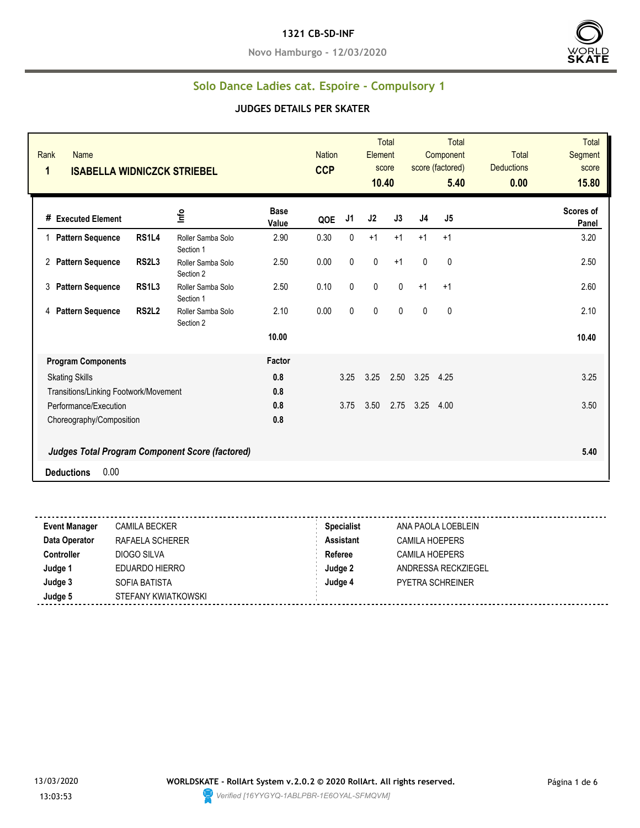#### **1321 CB-SD-INF**

**Novo Hamburgo - 12/03/2020**



# **Solo Dance Ladies cat. Espoire - Compulsory 1**

|                                                        | <b>CCP</b>                                | <b>Nation</b> | Element   |              |                | Component<br>5.40 | <b>Total</b><br><b>Deductions</b><br>0.00 | Segment<br>score<br>15.80 |
|--------------------------------------------------------|-------------------------------------------|---------------|-----------|--------------|----------------|-------------------|-------------------------------------------|---------------------------|
| <b>Base</b><br>Info<br>Value                           | QOE                                       | J1            | J2        | J3           | J <sub>4</sub> | J5                |                                           | Scores of<br>Panel        |
| 2.90<br>Roller Samba Solo<br>Section 1                 | 0.30                                      | 0             | $+1$      | $+1$         | $+1$           | $+1$              |                                           | 3.20                      |
| 2.50<br>Roller Samba Solo<br>Section 2                 | 0.00                                      | $\pmb{0}$     | $\pmb{0}$ | $+1$         | $\mathbf{0}$   | $\mathbf{0}$      |                                           | 2.50                      |
| 2.50<br>Roller Samba Solo<br>Section 1                 | 0.10                                      | $\pmb{0}$     | $\pmb{0}$ | 0            | $+1$           | $+1$              |                                           | 2.60                      |
| 2.10<br>Roller Samba Solo<br>Section 2                 | 0.00                                      | $\mathbf 0$   | $\pmb{0}$ | $\mathbf{0}$ | $\mathbf{0}$   | $\mathbf{0}$      |                                           | 2.10                      |
| 10.00                                                  |                                           |               |           |              |                |                   |                                           | 10.40                     |
| Factor                                                 |                                           |               |           |              |                |                   |                                           |                           |
| 0.8                                                    |                                           | 3.25          | 3.25      | 2.50         | 3.25           | 4.25              |                                           | 3.25                      |
| 0.8                                                    |                                           |               |           |              |                |                   |                                           |                           |
| 0.8                                                    |                                           | 3.75          | 3.50      | 2.75         | 3.25           | 4.00              |                                           | 3.50                      |
|                                                        |                                           |               |           |              |                |                   |                                           |                           |
| <b>Judges Total Program Component Score (factored)</b> |                                           |               |           |              |                |                   |                                           | 5.40                      |
|                                                        | <b>ISABELLA WIDNICZCK STRIEBEL</b><br>0.8 |               |           |              | score<br>10.40 |                   | score (factored)                          |                           |

| <b>Specialist</b><br><b>Event Manager</b><br><b>CAMILA BECKER</b><br>ANA PAOLA LOEBLEIN |  |
|-----------------------------------------------------------------------------------------|--|
| Data Operator<br><b>Assistant</b><br>RAFAELA SCHERER<br>CAMILA HOEPERS                  |  |
| Referee<br><b>Controller</b><br>DIOGO SILVA<br>CAMILA HOEPERS                           |  |
| Judge 1<br>Judge 2<br>EDUARDO HIERRO<br>ANDRESSA RECKZIEGEL                             |  |
| Judge 3<br>Judge 4<br>SOFIA BATISTA<br><b>PYETRA SCHREINER</b>                          |  |
| Judge 5<br>STEFANY KWIATKOWSKI                                                          |  |

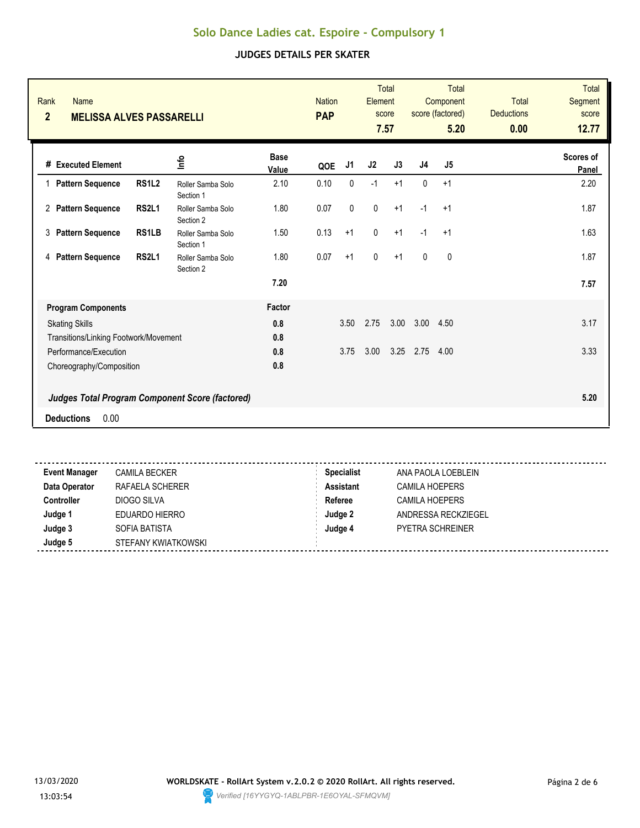| Rank<br><b>Name</b>                               |              |                                                        |                      | <b>Nation</b><br><b>PAP</b> |           | Element        | <b>Total</b><br>score |                | <b>Total</b><br>Component<br>score (factored) | <b>Total</b><br><b>Deductions</b> | <b>Total</b><br><b>Segment</b><br>score |
|---------------------------------------------------|--------------|--------------------------------------------------------|----------------------|-----------------------------|-----------|----------------|-----------------------|----------------|-----------------------------------------------|-----------------------------------|-----------------------------------------|
| $\overline{2}$<br><b>MELISSA ALVES PASSARELLI</b> |              |                                                        |                      |                             |           |                | 7.57                  |                | 5.20                                          | 0.00                              | 12.77                                   |
| # Executed Element                                |              | ۵۳                                                     | <b>Base</b><br>Value | QOE                         | J1        | J <sub>2</sub> | J3                    | J <sub>4</sub> | J <sub>5</sub>                                |                                   | <b>Scores of</b><br>Panel               |
| 1 Pattern Sequence                                | <b>RS1L2</b> | Roller Samba Solo<br>Section 1                         | 2.10                 | 0.10                        | 0         | $-1$           | $+1$                  | 0              | $+1$                                          |                                   | 2.20                                    |
| 2 Pattern Sequence                                | <b>RS2L1</b> | Roller Samba Solo<br>Section 2                         | 1.80                 | 0.07                        | $\pmb{0}$ | $\pmb{0}$      | $+1$                  | $-1$           | $+1$                                          |                                   | 1.87                                    |
| 3<br><b>Pattern Sequence</b>                      | RS1LB        | Roller Samba Solo<br>Section 1                         | 1.50                 | 0.13                        | $+1$      | $\mathbf{0}$   | $+1$                  | $-1$           | $+1$                                          |                                   | 1.63                                    |
| <b>Pattern Sequence</b><br>4                      | <b>RS2L1</b> | Roller Samba Solo<br>Section 2                         | 1.80                 | 0.07                        | $+1$      | $\mathbf 0$    | $+1$                  | $\mathbf{0}$   | $\mathbf{0}$                                  |                                   | 1.87                                    |
|                                                   |              |                                                        | 7.20                 |                             |           |                |                       |                |                                               |                                   | 7.57                                    |
| <b>Program Components</b>                         |              |                                                        | Factor               |                             |           |                |                       |                |                                               |                                   |                                         |
| <b>Skating Skills</b>                             |              |                                                        | 0.8                  |                             | 3.50      | 2.75           | 3.00                  | 3.00           | 4.50                                          |                                   | 3.17                                    |
| Transitions/Linking Footwork/Movement             |              |                                                        | 0.8                  |                             |           |                |                       |                |                                               |                                   |                                         |
| Performance/Execution                             |              |                                                        | 0.8                  |                             | 3.75      | 3.00           | 3.25                  | 2.75           | 4.00                                          |                                   | 3.33                                    |
| Choreography/Composition                          |              |                                                        | 0.8                  |                             |           |                |                       |                |                                               |                                   |                                         |
|                                                   |              | <b>Judges Total Program Component Score (factored)</b> |                      |                             |           |                |                       |                |                                               |                                   | 5.20                                    |
| 0.00<br><b>Deductions</b>                         |              |                                                        |                      |                             |           |                |                       |                |                                               |                                   |                                         |
|                                                   |              |                                                        |                      |                             |           |                |                       |                |                                               |                                   |                                         |

| <b>Event Manager</b> | <b>CAMILA BECKER</b> | <b>Specialist</b> | ANA PAOLA LOEBLEIN      |
|----------------------|----------------------|-------------------|-------------------------|
| Data Operator        | RAFAELA SCHERER      | Assistant         | <b>CAMILA HOEPERS</b>   |
| <b>Controller</b>    | DIOGO SILVA          | Referee           | CAMILA HOEPERS          |
| Judge 1              | EDUARDO HIERRO       | Judge 2           | ANDRESSA RECKZIEGEL     |
| Judge 3              | SOFIA BATISTA        | Judge 4           | <b>PYETRA SCHREINER</b> |
| Judge 5              | STEFANY KWIATKOWSKI  |                   |                         |
|                      |                      |                   |                         |

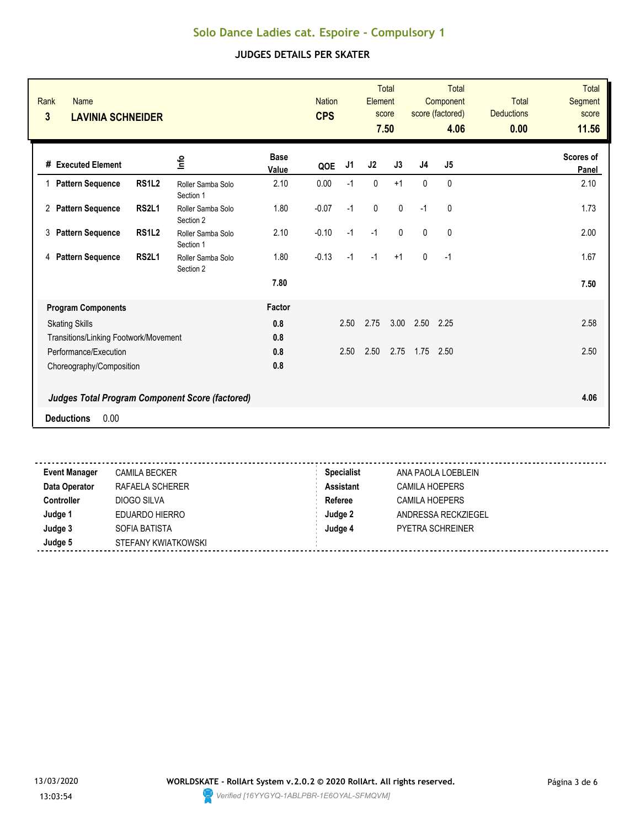| Rank<br><b>Name</b><br>3<br><b>LAVINIA SCHNEIDER</b> |              |                                                        |                      | <b>Nation</b><br><b>CPS</b> |                | Element        | <b>Total</b><br>score<br>7.50 |                | <b>Total</b><br>Component<br>score (factored)<br>4.06 | <b>Total</b><br><b>Deductions</b><br>0.00 | <b>Total</b><br>Segment<br>score<br>11.56 |
|------------------------------------------------------|--------------|--------------------------------------------------------|----------------------|-----------------------------|----------------|----------------|-------------------------------|----------------|-------------------------------------------------------|-------------------------------------------|-------------------------------------------|
| # Executed Element                                   |              | 울                                                      | <b>Base</b><br>Value | QOE                         | J <sub>1</sub> | J <sub>2</sub> | J3                            | J <sub>4</sub> | J <sub>5</sub>                                        |                                           | <b>Scores of</b><br>Panel                 |
| <b>Pattern Sequence</b><br>1                         | <b>RS1L2</b> | Roller Samba Solo<br>Section 1                         | 2.10                 | 0.00                        | $-1$           | 0              | $+1$                          | $\mathbf{0}$   | 0                                                     |                                           | 2.10                                      |
| 2 Pattern Sequence                                   | <b>RS2L1</b> | Roller Samba Solo<br>Section 2                         | 1.80                 | $-0.07$                     | $-1$           | $\pmb{0}$      | $\pmb{0}$                     | $-1$           | 0                                                     |                                           | 1.73                                      |
| <b>Pattern Sequence</b><br>3                         | <b>RS1L2</b> | Roller Samba Solo<br>Section 1                         | 2.10                 | $-0.10$                     | $-1$           | $-1$           | $\mathbf{0}$                  | $\mathbf{0}$   | 0                                                     |                                           | 2.00                                      |
| 4 Pattern Sequence                                   | <b>RS2L1</b> | Roller Samba Solo<br>Section 2                         | 1.80                 | $-0.13$                     | $-1$           | $-1$           | $+1$                          | $\mathbf{0}$   | $-1$                                                  |                                           | 1.67                                      |
|                                                      |              |                                                        | 7.80                 |                             |                |                |                               |                |                                                       |                                           | 7.50                                      |
| <b>Program Components</b>                            |              |                                                        | Factor               |                             |                |                |                               |                |                                                       |                                           |                                           |
| <b>Skating Skills</b>                                |              |                                                        | 0.8                  |                             | 2.50           | 2.75           | 3.00                          | 2.50           | 2.25                                                  |                                           | 2.58                                      |
| Transitions/Linking Footwork/Movement                |              |                                                        | 0.8                  |                             |                |                |                               |                |                                                       |                                           |                                           |
| Performance/Execution                                |              |                                                        | 0.8                  |                             | 2.50           | 2.50           | 2.75                          | 1.75           | 2.50                                                  |                                           | 2.50                                      |
| Choreography/Composition                             |              |                                                        | 0.8                  |                             |                |                |                               |                |                                                       |                                           |                                           |
|                                                      |              | <b>Judges Total Program Component Score (factored)</b> |                      |                             |                |                |                               |                |                                                       |                                           | 4.06                                      |
| 0.00<br><b>Deductions</b>                            |              |                                                        |                      |                             |                |                |                               |                |                                                       |                                           |                                           |
|                                                      |              |                                                        |                      |                             |                |                |                               |                |                                                       |                                           |                                           |

| <b>Event Manager</b> | <b>CAMILA BECKER</b> | <b>Specialist</b> | ANA PAOLA LOEBLEIN      |
|----------------------|----------------------|-------------------|-------------------------|
| Data Operator        | RAFAELA SCHERER      | <b>Assistant</b>  | <b>CAMILA HOEPERS</b>   |
| <b>Controller</b>    | DIOGO SILVA          | Referee           | CAMILA HOEPERS          |
| Judge 1              | EDUARDO HIERRO       | Judge 2           | ANDRESSA RECKZIEGEL     |
| Judge 3              | SOFIA BATISTA        | Judge 4           | <b>PYETRA SCHREINER</b> |
| Judge 5              | STEFANY KWIATKOWSKI  |                   |                         |
|                      |                      |                   |                         |

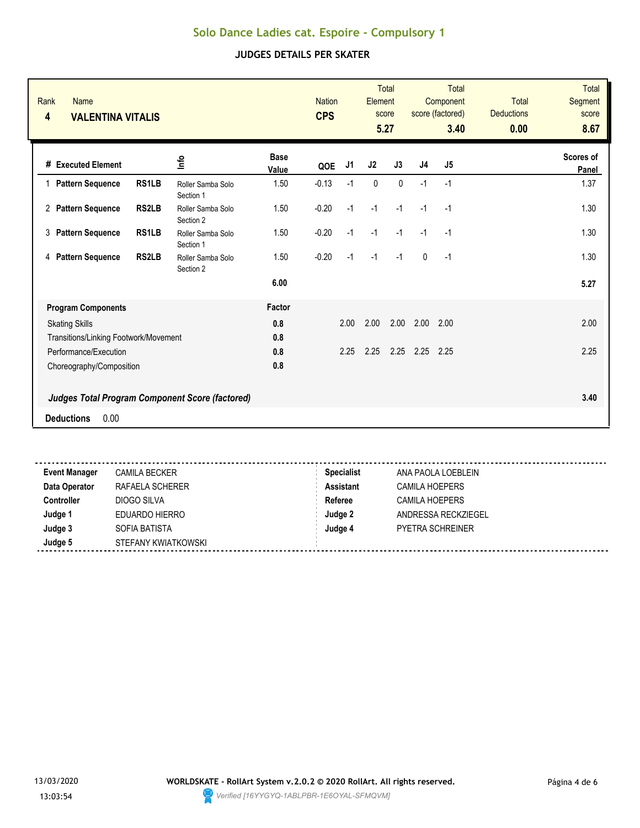| <b>Rank</b><br><b>Name</b><br>$\overline{\mathbf{4}}$<br><b>VALENTINA VITALIS</b> |              |                                                        |                      | <b>Nation</b><br><b>CPS</b> |      | Element     | <b>Total</b><br>score<br>5.27 |              | <b>Total</b><br>Component<br>score (factored)<br>3.40 | <b>Total</b><br><b>Deductions</b><br>0.00 | <b>Total</b><br>Segment<br>score<br>8.67 |
|-----------------------------------------------------------------------------------|--------------|--------------------------------------------------------|----------------------|-----------------------------|------|-------------|-------------------------------|--------------|-------------------------------------------------------|-------------------------------------------|------------------------------------------|
| # Executed Element                                                                |              | ۴ů                                                     | <b>Base</b><br>Value | QOE                         | J1   | J2          | J3                            | J4           | J5                                                    |                                           | <b>Scores of</b><br>Panel                |
| 1 Pattern Sequence                                                                | <b>RS1LB</b> | Roller Samba Solo<br>Section 1                         | 1.50                 | $-0.13$                     | $-1$ | $\mathbf 0$ | $\mathbf 0$                   | $-1$         | $-1$                                                  |                                           | 1.37                                     |
| 2 Pattern Sequence                                                                | <b>RS2LB</b> | Roller Samba Solo<br>Section 2                         | 1.50                 | $-0.20$                     | $-1$ | $-1$        | $-1$                          | $-1$         | $-1$                                                  |                                           | 1.30                                     |
| <b>Pattern Sequence</b><br>3                                                      | RS1LB        | Roller Samba Solo<br>Section 1                         | 1.50                 | $-0.20$                     | $-1$ | $-1$        | $-1$                          | $-1$         | $-1$                                                  |                                           | 1.30                                     |
| <b>Pattern Sequence</b><br>4                                                      | <b>RS2LB</b> | Roller Samba Solo<br>Section 2                         | 1.50                 | $-0.20$                     | $-1$ | $-1$        | $-1$                          | $\mathbf{0}$ | $-1$                                                  |                                           | 1.30                                     |
|                                                                                   |              |                                                        | 6.00                 |                             |      |             |                               |              |                                                       |                                           | 5.27                                     |
| <b>Program Components</b>                                                         |              |                                                        | Factor               |                             |      |             |                               |              |                                                       |                                           |                                          |
| <b>Skating Skills</b>                                                             |              |                                                        | 0.8                  |                             | 2.00 | 2.00        | 2.00                          | 2.00         | 2.00                                                  |                                           | 2.00                                     |
| Transitions/Linking Footwork/Movement                                             |              |                                                        | 0.8                  |                             |      |             |                               |              |                                                       |                                           |                                          |
| Performance/Execution                                                             |              |                                                        | 0.8                  |                             | 2.25 | 2.25        | 2.25                          | 2.25         | 2.25                                                  |                                           | 2.25                                     |
| Choreography/Composition                                                          |              |                                                        | 0.8                  |                             |      |             |                               |              |                                                       |                                           |                                          |
|                                                                                   |              | <b>Judges Total Program Component Score (factored)</b> |                      |                             |      |             |                               |              |                                                       |                                           | 3.40                                     |
| 0.00<br><b>Deductions</b>                                                         |              |                                                        |                      |                             |      |             |                               |              |                                                       |                                           |                                          |
|                                                                                   |              |                                                        |                      |                             |      |             |                               |              |                                                       |                                           |                                          |

| <b>Event Manager</b> | <b>CAMILA BECKER</b> | <b>Specialist</b> | ANA PAOLA LOEBLEIN      |  |
|----------------------|----------------------|-------------------|-------------------------|--|
| Data Operator        | RAFAELA SCHERER      | <b>Assistant</b>  | <b>CAMILA HOEPERS</b>   |  |
| <b>Controller</b>    | DIOGO SILVA          | Referee           | CAMILA HOEPERS          |  |
| Judge 1              | EDUARDO HIERRO       | Judge 2           | ANDRESSA RECKZIEGEL     |  |
| Judge 3              | SOFIA BATISTA        | Judge 4           | <b>PYETRA SCHREINER</b> |  |
| Judge 5              | STEFANY KWIATKOWSKI  |                   |                         |  |
|                      |                      |                   |                         |  |

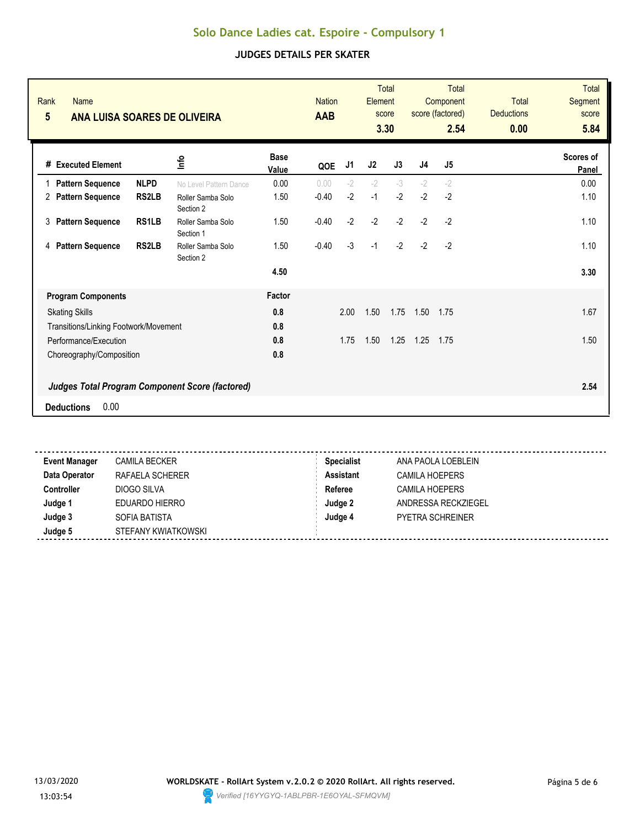| Rank<br><b>Name</b><br>$5\phantom{.0}$<br><b>ANA LUISA SOARES DE OLIVEIRA</b> |              |                                |                      | <b>Nation</b><br><b>AAB</b> |      | Element | <b>Total</b><br>score<br>3.30 |      | Total<br>Component<br>score (factored)<br>2.54 | <b>Total</b><br><b>Deductions</b><br>0.00 | <b>Total</b><br>Segment<br>score<br>5.84 |
|-------------------------------------------------------------------------------|--------------|--------------------------------|----------------------|-----------------------------|------|---------|-------------------------------|------|------------------------------------------------|-------------------------------------------|------------------------------------------|
| # Executed Element                                                            |              | ۴ů                             | <b>Base</b><br>Value | QOE                         | J1   | J2      | J3                            | J4   | J5                                             |                                           | <b>Scores of</b><br>Panel                |
| <b>Pattern Sequence</b><br>1.                                                 | <b>NLPD</b>  | No Level Pattern Dance         | 0.00                 | 0.00                        | $-2$ | $-2$    | $-3$                          | $-2$ | $-2$                                           |                                           | 0.00                                     |
| 2 Pattern Sequence                                                            | <b>RS2LB</b> | Roller Samba Solo<br>Section 2 | 1.50                 | $-0.40$                     | $-2$ | $-1$    | $-2$                          | $-2$ | $-2$                                           |                                           | 1.10                                     |
| 3<br><b>Pattern Sequence</b>                                                  | RS1LB        | Roller Samba Solo<br>Section 1 | 1.50                 | $-0.40$                     | $-2$ | $-2$    | $-2$                          | $-2$ | $-2$                                           |                                           | 1.10                                     |
| <b>Pattern Sequence</b><br>4                                                  | <b>RS2LB</b> | Roller Samba Solo<br>Section 2 | 1.50                 | $-0.40$                     | $-3$ | $-1$    | $-2$                          | $-2$ | $-2$                                           |                                           | 1.10                                     |
|                                                                               |              |                                | 4.50                 |                             |      |         |                               |      |                                                |                                           | 3.30                                     |
| <b>Program Components</b>                                                     |              |                                | Factor               |                             |      |         |                               |      |                                                |                                           |                                          |
| <b>Skating Skills</b>                                                         |              |                                | 0.8                  |                             | 2.00 | 1.50    | 1.75                          | 1.50 | 1.75                                           |                                           | 1.67                                     |
| Transitions/Linking Footwork/Movement                                         |              |                                | 0.8                  |                             |      |         |                               |      |                                                |                                           |                                          |
| Performance/Execution                                                         |              |                                | 0.8                  |                             | 1.75 | 1.50    | 1.25                          | 1.25 | 1.75                                           |                                           | 1.50                                     |
| Choreography/Composition                                                      |              |                                | 0.8                  |                             |      |         |                               |      |                                                |                                           |                                          |
| <b>Judges Total Program Component Score (factored)</b>                        |              |                                |                      |                             |      |         |                               |      |                                                |                                           | 2.54                                     |
| 0.00<br><b>Deductions</b>                                                     |              |                                |                      |                             |      |         |                               |      |                                                |                                           |                                          |
|                                                                               |              |                                |                      |                             |      |         |                               |      |                                                |                                           |                                          |

| <b>Event Manager</b> | <b>CAMILA BECKER</b> | <b>Specialist</b> | ANA PAOLA LOEBLEIN      |
|----------------------|----------------------|-------------------|-------------------------|
| Data Operator        | RAFAELA SCHERER      | <b>Assistant</b>  | <b>CAMILA HOEPERS</b>   |
| <b>Controller</b>    | DIOGO SILVA          | Referee           | CAMILA HOEPERS          |
| Judge 1              | EDUARDO HIERRO       | Judge 2           | ANDRESSA RECKZIEGEL     |
| Judge 3              | SOFIA BATISTA        | Judge 4           | <b>PYETRA SCHREINER</b> |
| Judge 5              | STEFANY KWIATKOWSKI  |                   |                         |
|                      |                      |                   |                         |